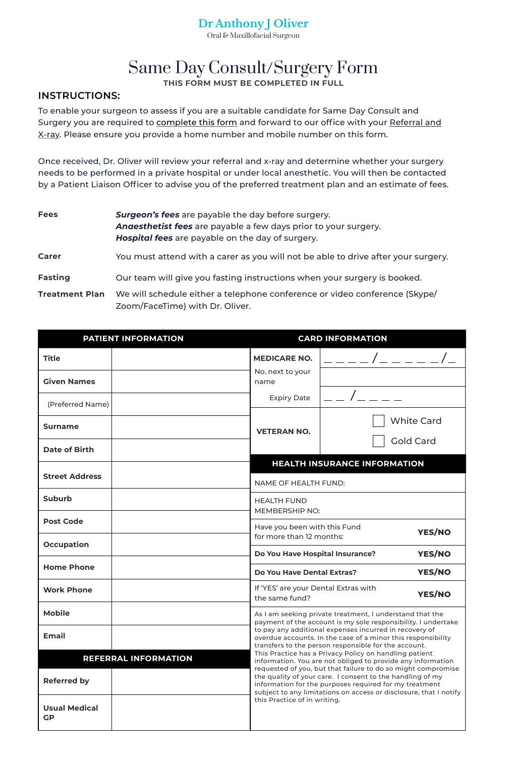To enable your surgeon to assess if you are a suitable candidate for Same Day Consult and Surgery you are required to complete this form and forward to our office with your Referral and X-ray. Please ensure you provide a home number and mobile number on this form.

Once received, Dr. Oliver will review your referral and x-ray and determine whether your surgery needs to be performed in a private hospital or under local anesthetic. You will then be contacted by a Patient Liaison Officer to advise you of the preferred treatment plan and an estimate of fees.

# Same Day Consult/Surgery Form **THIS FORM MUST BE COMPLETED IN FULL**

| <b>Fees</b>           | <b>Surgeon's fees</b> are payable the day before surgery.<br><b>Angesthetist fees</b> are payable a few days prior to your surgery.<br>Hospital fees are payable on the day of surgery. |
|-----------------------|-----------------------------------------------------------------------------------------------------------------------------------------------------------------------------------------|
| <b>Carer</b>          | You must attend with a carer as you will not be able to drive after your surgery.                                                                                                       |
| <b>Fasting</b>        | Our team will give you fasting instructions when your surgery is booked.                                                                                                                |
| <b>Treatment Plan</b> | We will schedule either a telephone conference or video conference (Skype/<br>Zoom/FaceTime) with Dr. Oliver.                                                                           |

| <b>PATIENT INFORMATION</b> |
|----------------------------|
|----------------------------|

### **INSTRUCTIONS:**

**PATIENT INFORMATION CARD INFORMATION**

| <b>Title</b>                                         | <b>MEDICARE NO.</b>      |                                                                                                                                                                                                                                                                                                                                                                                                                                                                                                                                                                                                     |  |  |
|------------------------------------------------------|--------------------------|-----------------------------------------------------------------------------------------------------------------------------------------------------------------------------------------------------------------------------------------------------------------------------------------------------------------------------------------------------------------------------------------------------------------------------------------------------------------------------------------------------------------------------------------------------------------------------------------------------|--|--|
| <b>Given Names</b>                                   | No. next to your<br>name |                                                                                                                                                                                                                                                                                                                                                                                                                                                                                                                                                                                                     |  |  |
| (Preferred Name)                                     | <b>Expiry Date</b>       |                                                                                                                                                                                                                                                                                                                                                                                                                                                                                                                                                                                                     |  |  |
| <b>Surname</b>                                       | <b>VETERAN NO.</b>       | <b>White Card</b><br><b>Gold Card</b>                                                                                                                                                                                                                                                                                                                                                                                                                                                                                                                                                               |  |  |
| <b>Date of Birth</b>                                 |                          |                                                                                                                                                                                                                                                                                                                                                                                                                                                                                                                                                                                                     |  |  |
|                                                      |                          | <b>HEALTH INSURANCE INFORMATION</b>                                                                                                                                                                                                                                                                                                                                                                                                                                                                                                                                                                 |  |  |
| <b>Street Address</b><br><b>NAME OF HEALTH FUND:</b> |                          |                                                                                                                                                                                                                                                                                                                                                                                                                                                                                                                                                                                                     |  |  |
| <b>Suburb</b>                                        | <b>HEALTH FUND</b>       |                                                                                                                                                                                                                                                                                                                                                                                                                                                                                                                                                                                                     |  |  |
| <b>Post Code</b>                                     |                          | <b>MEMBERSHIP NO:</b>                                                                                                                                                                                                                                                                                                                                                                                                                                                                                                                                                                               |  |  |
|                                                      |                          | Have you been with this Fund<br><b>YES/NO</b><br>for more than 12 months:                                                                                                                                                                                                                                                                                                                                                                                                                                                                                                                           |  |  |
| <b>Occupation</b>                                    |                          | YES/NO<br><b>Do You Have Hospital Insurance?</b>                                                                                                                                                                                                                                                                                                                                                                                                                                                                                                                                                    |  |  |
| <b>Home Phone</b>                                    |                          | YES/NO<br>Do You Have Dental Extras?                                                                                                                                                                                                                                                                                                                                                                                                                                                                                                                                                                |  |  |
| <b>Work Phone</b>                                    | the same fund?           | If 'YES' are your Dental Extras with<br>YES/NO                                                                                                                                                                                                                                                                                                                                                                                                                                                                                                                                                      |  |  |
| <b>Mobile</b>                                        |                          | As I am seeking private treatment, I understand that the<br>payment of the account is my sole responsibility. I undertake                                                                                                                                                                                                                                                                                                                                                                                                                                                                           |  |  |
| <b>Email</b>                                         |                          | to pay any additional expenses incurred in recovery of<br>overdue accounts. In the case of a minor this responsibility<br>transfers to the person responsible for the account.<br>This Practice has a Privacy Policy on handling patient<br>information. You are not obliged to provide any information<br>requested of you, but that failure to do so might compromise<br>the quality of your care. I consent to the handling of my<br>information for the purposes required for my treatment<br>subject to any limitations on access or disclosure, that I notify<br>this Practice of in writing. |  |  |
| REFERRAL INFORMATION<br><b>Referred by</b>           |                          |                                                                                                                                                                                                                                                                                                                                                                                                                                                                                                                                                                                                     |  |  |





Oral & Maxillofacial Surgeon